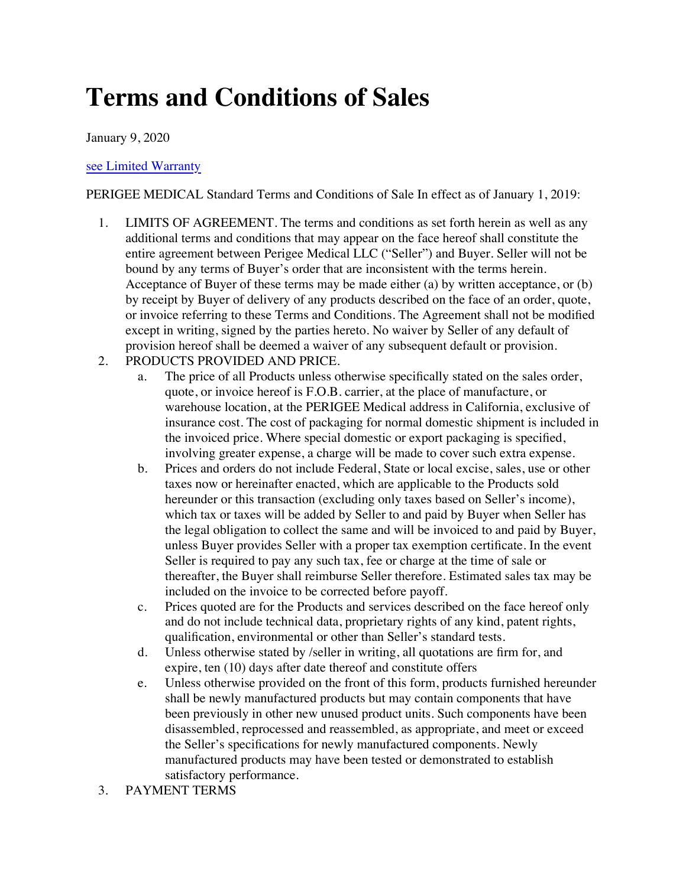## **Terms and Conditions of Sales**

January 9, 2020

## [see Limited Warranty](https://perigee.com/limited-warranty/)

PERIGEE MEDICAL Standard Terms and Conditions of Sale In effect as of January 1, 2019:

- 1. LIMITS OF AGREEMENT. The terms and conditions as set forth herein as well as any additional terms and conditions that may appear on the face hereof shall constitute the entire agreement between Perigee Medical LLC ("Seller") and Buyer. Seller will not be bound by any terms of Buyer's order that are inconsistent with the terms herein. Acceptance of Buyer of these terms may be made either (a) by written acceptance, or (b) by receipt by Buyer of delivery of any products described on the face of an order, quote, or invoice referring to these Terms and Conditions. The Agreement shall not be modified except in writing, signed by the parties hereto. No waiver by Seller of any default of provision hereof shall be deemed a waiver of any subsequent default or provision.
- 2. PRODUCTS PROVIDED AND PRICE.
	- a. The price of all Products unless otherwise specifically stated on the sales order, quote, or invoice hereof is F.O.B. carrier, at the place of manufacture, or warehouse location, at the PERIGEE Medical address in California, exclusive of insurance cost. The cost of packaging for normal domestic shipment is included in the invoiced price. Where special domestic or export packaging is specified, involving greater expense, a charge will be made to cover such extra expense.
	- b. Prices and orders do not include Federal, State or local excise, sales, use or other taxes now or hereinafter enacted, which are applicable to the Products sold hereunder or this transaction (excluding only taxes based on Seller's income), which tax or taxes will be added by Seller to and paid by Buyer when Seller has the legal obligation to collect the same and will be invoiced to and paid by Buyer, unless Buyer provides Seller with a proper tax exemption certificate. In the event Seller is required to pay any such tax, fee or charge at the time of sale or thereafter, the Buyer shall reimburse Seller therefore. Estimated sales tax may be included on the invoice to be corrected before payoff.
	- c. Prices quoted are for the Products and services described on the face hereof only and do not include technical data, proprietary rights of any kind, patent rights, qualification, environmental or other than Seller's standard tests.
	- d. Unless otherwise stated by /seller in writing, all quotations are firm for, and expire, ten (10) days after date thereof and constitute offers
	- e. Unless otherwise provided on the front of this form, products furnished hereunder shall be newly manufactured products but may contain components that have been previously in other new unused product units. Such components have been disassembled, reprocessed and reassembled, as appropriate, and meet or exceed the Seller's specifications for newly manufactured components. Newly manufactured products may have been tested or demonstrated to establish satisfactory performance.
- 3. PAYMENT TERMS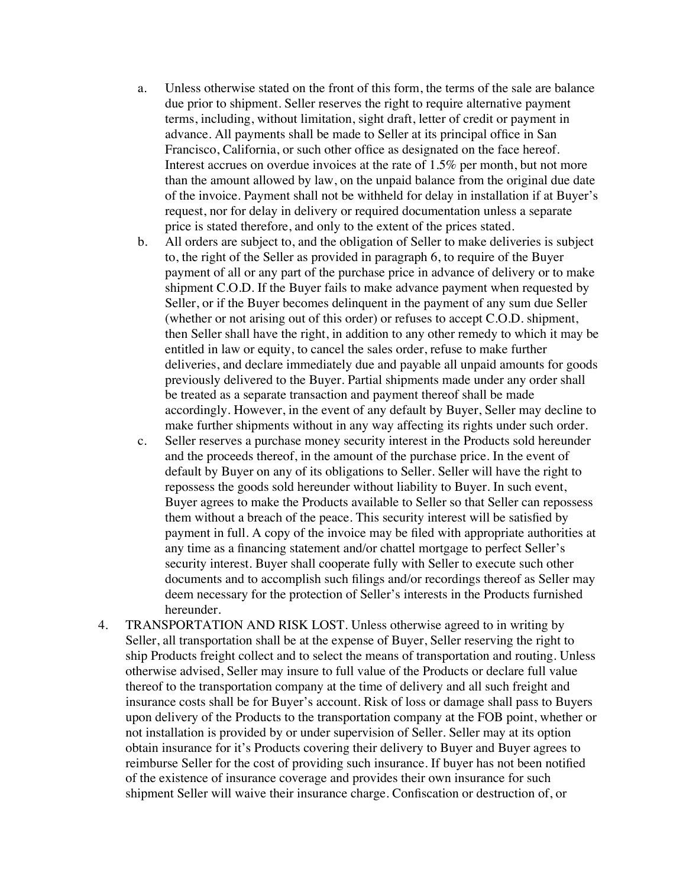- a. Unless otherwise stated on the front of this form, the terms of the sale are balance due prior to shipment. Seller reserves the right to require alternative payment terms, including, without limitation, sight draft, letter of credit or payment in advance. All payments shall be made to Seller at its principal office in San Francisco, California, or such other office as designated on the face hereof. Interest accrues on overdue invoices at the rate of 1.5% per month, but not more than the amount allowed by law, on the unpaid balance from the original due date of the invoice. Payment shall not be withheld for delay in installation if at Buyer's request, nor for delay in delivery or required documentation unless a separate price is stated therefore, and only to the extent of the prices stated.
- b. All orders are subject to, and the obligation of Seller to make deliveries is subject to, the right of the Seller as provided in paragraph 6, to require of the Buyer payment of all or any part of the purchase price in advance of delivery or to make shipment C.O.D. If the Buyer fails to make advance payment when requested by Seller, or if the Buyer becomes delinquent in the payment of any sum due Seller (whether or not arising out of this order) or refuses to accept C.O.D. shipment, then Seller shall have the right, in addition to any other remedy to which it may be entitled in law or equity, to cancel the sales order, refuse to make further deliveries, and declare immediately due and payable all unpaid amounts for goods previously delivered to the Buyer. Partial shipments made under any order shall be treated as a separate transaction and payment thereof shall be made accordingly. However, in the event of any default by Buyer, Seller may decline to make further shipments without in any way affecting its rights under such order.
- c. Seller reserves a purchase money security interest in the Products sold hereunder and the proceeds thereof, in the amount of the purchase price. In the event of default by Buyer on any of its obligations to Seller. Seller will have the right to repossess the goods sold hereunder without liability to Buyer. In such event, Buyer agrees to make the Products available to Seller so that Seller can repossess them without a breach of the peace. This security interest will be satisfied by payment in full. A copy of the invoice may be filed with appropriate authorities at any time as a financing statement and/or chattel mortgage to perfect Seller's security interest. Buyer shall cooperate fully with Seller to execute such other documents and to accomplish such filings and/or recordings thereof as Seller may deem necessary for the protection of Seller's interests in the Products furnished hereunder.
- 4. TRANSPORTATION AND RISK LOST. Unless otherwise agreed to in writing by Seller, all transportation shall be at the expense of Buyer, Seller reserving the right to ship Products freight collect and to select the means of transportation and routing. Unless otherwise advised, Seller may insure to full value of the Products or declare full value thereof to the transportation company at the time of delivery and all such freight and insurance costs shall be for Buyer's account. Risk of loss or damage shall pass to Buyers upon delivery of the Products to the transportation company at the FOB point, whether or not installation is provided by or under supervision of Seller. Seller may at its option obtain insurance for it's Products covering their delivery to Buyer and Buyer agrees to reimburse Seller for the cost of providing such insurance. If buyer has not been notified of the existence of insurance coverage and provides their own insurance for such shipment Seller will waive their insurance charge. Confiscation or destruction of, or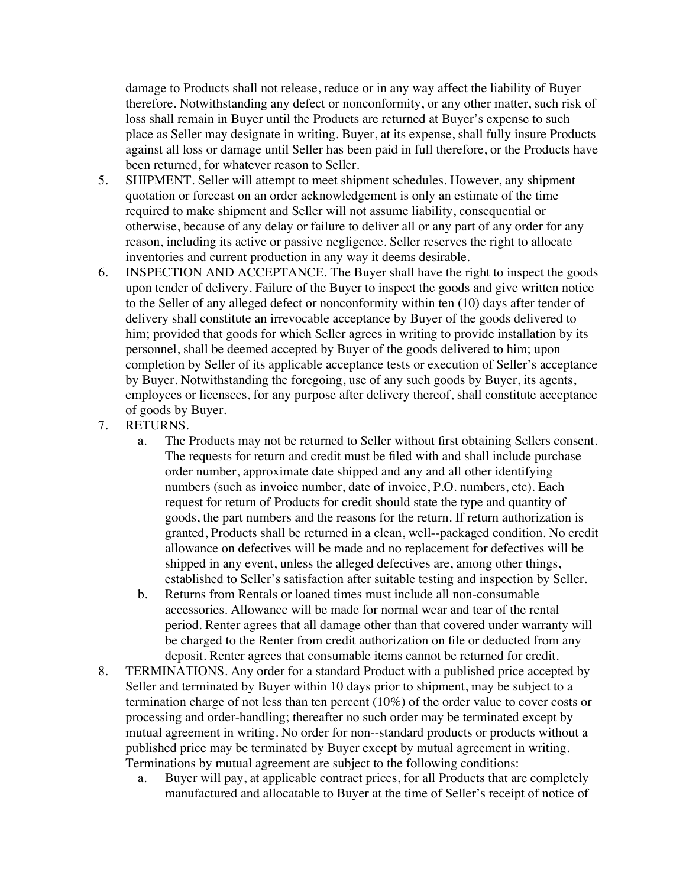damage to Products shall not release, reduce or in any way affect the liability of Buyer therefore. Notwithstanding any defect or nonconformity, or any other matter, such risk of loss shall remain in Buyer until the Products are returned at Buyer's expense to such place as Seller may designate in writing. Buyer, at its expense, shall fully insure Products against all loss or damage until Seller has been paid in full therefore, or the Products have been returned, for whatever reason to Seller.

- 5. SHIPMENT. Seller will attempt to meet shipment schedules. However, any shipment quotation or forecast on an order acknowledgement is only an estimate of the time required to make shipment and Seller will not assume liability, consequential or otherwise, because of any delay or failure to deliver all or any part of any order for any reason, including its active or passive negligence. Seller reserves the right to allocate inventories and current production in any way it deems desirable.
- 6. INSPECTION AND ACCEPTANCE. The Buyer shall have the right to inspect the goods upon tender of delivery. Failure of the Buyer to inspect the goods and give written notice to the Seller of any alleged defect or nonconformity within ten (10) days after tender of delivery shall constitute an irrevocable acceptance by Buyer of the goods delivered to him; provided that goods for which Seller agrees in writing to provide installation by its personnel, shall be deemed accepted by Buyer of the goods delivered to him; upon completion by Seller of its applicable acceptance tests or execution of Seller's acceptance by Buyer. Notwithstanding the foregoing, use of any such goods by Buyer, its agents, employees or licensees, for any purpose after delivery thereof, shall constitute acceptance of goods by Buyer.
- 7. RETURNS.
	- a. The Products may not be returned to Seller without first obtaining Sellers consent. The requests for return and credit must be filed with and shall include purchase order number, approximate date shipped and any and all other identifying numbers (such as invoice number, date of invoice, P.O. numbers, etc). Each request for return of Products for credit should state the type and quantity of goods, the part numbers and the reasons for the return. If return authorization is granted, Products shall be returned in a clean, well--packaged condition. No credit allowance on defectives will be made and no replacement for defectives will be shipped in any event, unless the alleged defectives are, among other things, established to Seller's satisfaction after suitable testing and inspection by Seller.
	- b. Returns from Rentals or loaned times must include all non-consumable accessories. Allowance will be made for normal wear and tear of the rental period. Renter agrees that all damage other than that covered under warranty will be charged to the Renter from credit authorization on file or deducted from any deposit. Renter agrees that consumable items cannot be returned for credit.
- 8. TERMINATIONS. Any order for a standard Product with a published price accepted by Seller and terminated by Buyer within 10 days prior to shipment, may be subject to a termination charge of not less than ten percent (10%) of the order value to cover costs or processing and order-handling; thereafter no such order may be terminated except by mutual agreement in writing. No order for non--standard products or products without a published price may be terminated by Buyer except by mutual agreement in writing. Terminations by mutual agreement are subject to the following conditions:
	- a. Buyer will pay, at applicable contract prices, for all Products that are completely manufactured and allocatable to Buyer at the time of Seller's receipt of notice of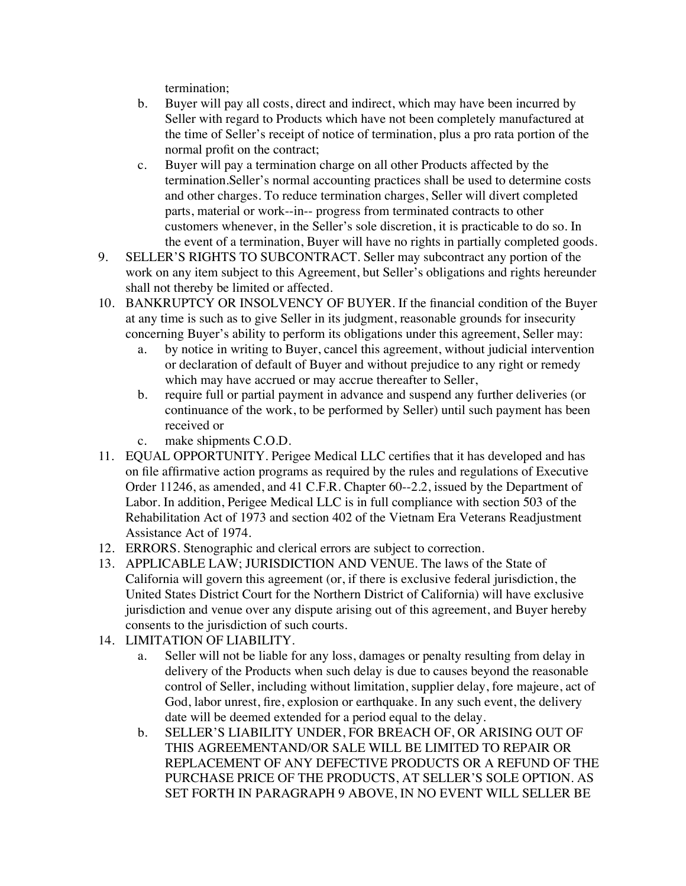termination;

- b. Buyer will pay all costs, direct and indirect, which may have been incurred by Seller with regard to Products which have not been completely manufactured at the time of Seller's receipt of notice of termination, plus a pro rata portion of the normal profit on the contract;
- c. Buyer will pay a termination charge on all other Products affected by the termination.Seller's normal accounting practices shall be used to determine costs and other charges. To reduce termination charges, Seller will divert completed parts, material or work--in-- progress from terminated contracts to other customers whenever, in the Seller's sole discretion, it is practicable to do so. In the event of a termination, Buyer will have no rights in partially completed goods.
- 9. SELLER'S RIGHTS TO SUBCONTRACT. Seller may subcontract any portion of the work on any item subject to this Agreement, but Seller's obligations and rights hereunder shall not thereby be limited or affected.
- 10. BANKRUPTCY OR INSOLVENCY OF BUYER. If the financial condition of the Buyer at any time is such as to give Seller in its judgment, reasonable grounds for insecurity concerning Buyer's ability to perform its obligations under this agreement, Seller may:
	- a. by notice in writing to Buyer, cancel this agreement, without judicial intervention or declaration of default of Buyer and without prejudice to any right or remedy which may have accrued or may accrue thereafter to Seller,
	- b. require full or partial payment in advance and suspend any further deliveries (or continuance of the work, to be performed by Seller) until such payment has been received or
	- c. make shipments C.O.D.
- 11. EQUAL OPPORTUNITY. Perigee Medical LLC certifies that it has developed and has on file affirmative action programs as required by the rules and regulations of Executive Order 11246, as amended, and 41 C.F.R. Chapter 60--2.2, issued by the Department of Labor. In addition, Perigee Medical LLC is in full compliance with section 503 of the Rehabilitation Act of 1973 and section 402 of the Vietnam Era Veterans Readjustment Assistance Act of 1974.
- 12. ERRORS. Stenographic and clerical errors are subject to correction.
- 13. APPLICABLE LAW; JURISDICTION AND VENUE. The laws of the State of California will govern this agreement (or, if there is exclusive federal jurisdiction, the United States District Court for the Northern District of California) will have exclusive jurisdiction and venue over any dispute arising out of this agreement, and Buyer hereby consents to the jurisdiction of such courts.
- 14. LIMITATION OF LIABILITY.
	- a. Seller will not be liable for any loss, damages or penalty resulting from delay in delivery of the Products when such delay is due to causes beyond the reasonable control of Seller, including without limitation, supplier delay, fore majeure, act of God, labor unrest, fire, explosion or earthquake. In any such event, the delivery date will be deemed extended for a period equal to the delay.
	- b. SELLER'S LIABILITY UNDER, FOR BREACH OF, OR ARISING OUT OF THIS AGREEMENTAND/OR SALE WILL BE LIMITED TO REPAIR OR REPLACEMENT OF ANY DEFECTIVE PRODUCTS OR A REFUND OF THE PURCHASE PRICE OF THE PRODUCTS, AT SELLER'S SOLE OPTION. AS SET FORTH IN PARAGRAPH 9 ABOVE, IN NO EVENT WILL SELLER BE